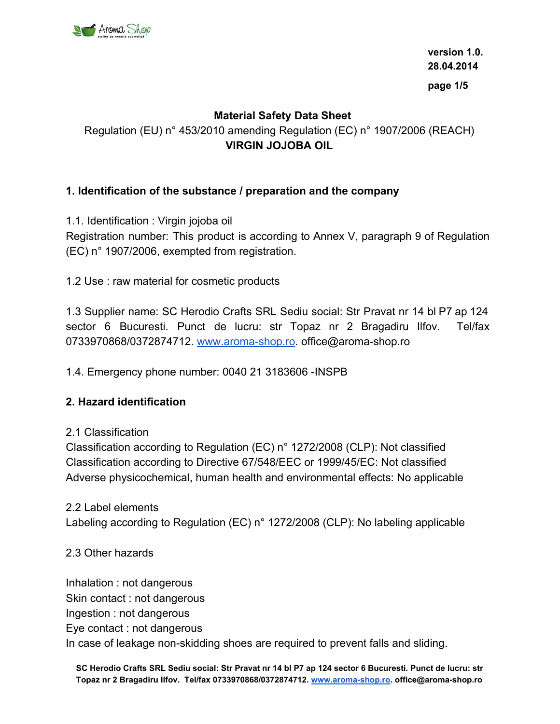

**version 1.0. 28.04.2014 page 1/5**

## **Material Safety Data Sheet**

Regulation (EU) n° 453/2010 amending Regulation (EC) n° 1907/2006 (REACH) **VIRGIN JOJOBA OIL**

### **1. Identification of the substance / preparation and the company**

1.1. Identification : Virgin jojoba oil Registration number: This product is according to Annex V, paragraph 9 of Regulation

1.2 Use : raw material for cosmetic products

(EC) n° 1907/2006, exempted from registration.

1.3 Supplier name: SC Herodio Crafts SRL Sediu social: Str Pravat nr 14 bl P7 ap 124 sector 6 Bucuresti. Punct de lucru: str Topaz nr 2 Bragadiru Ilfov. Tel/fax 0733970868/0372874712. [www.aroma-shop.ro.](http://www.aroma-shop.ro/) office@aroma-shop.ro

1.4. Emergency phone number: 0040 21 3183606 -INSPB

#### **2. Hazard identification**

#### 2.1 Classification

Classification according to Regulation (EC) n° 1272/2008 (CLP): Not classified Classification according to Directive 67/548/EEC or 1999/45/EC: Not classified Adverse physicochemical, human health and environmental effects: No applicable

2.2 Label elements

Labeling according to Regulation (EC) n° 1272/2008 (CLP): No labeling applicable

#### 2.3 Other hazards

Inhalation : not dangerous Skin contact : not dangerous Ingestion : not dangerous Eye contact : not dangerous In case of leakage non-skidding shoes are required to prevent falls and sliding.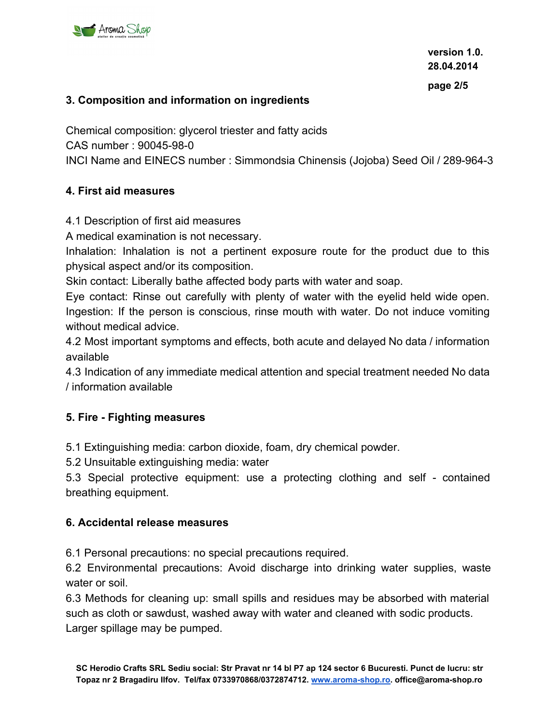

### **3. Composition and information on ingredients**

Chemical composition: glycerol triester and fatty acids CAS number : 90045-98-0 INCI Name and EINECS number : Simmondsia Chinensis (Jojoba) Seed Oil / 289-964-3

#### **4. First aid measures**

4.1 Description of first aid measures

A medical examination is not necessary.

Inhalation: Inhalation is not a pertinent exposure route for the product due to this physical aspect and/or its composition.

Skin contact: Liberally bathe affected body parts with water and soap.

Eye contact: Rinse out carefully with plenty of water with the eyelid held wide open. Ingestion: If the person is conscious, rinse mouth with water. Do not induce vomiting without medical advice.

4.2 Most important symptoms and effects, both acute and delayed No data / information available

4.3 Indication of any immediate medical attention and special treatment needed No data / information available

## **5. Fire - Fighting measures**

5.1 Extinguishing media: carbon dioxide, foam, dry chemical powder.

5.2 Unsuitable extinguishing media: water

5.3 Special protective equipment: use a protecting clothing and self - contained breathing equipment.

#### **6. Accidental release measures**

6.1 Personal precautions: no special precautions required.

6.2 Environmental precautions: Avoid discharge into drinking water supplies, waste water or soil.

6.3 Methods for cleaning up: small spills and residues may be absorbed with material such as cloth or sawdust, washed away with water and cleaned with sodic products. Larger spillage may be pumped.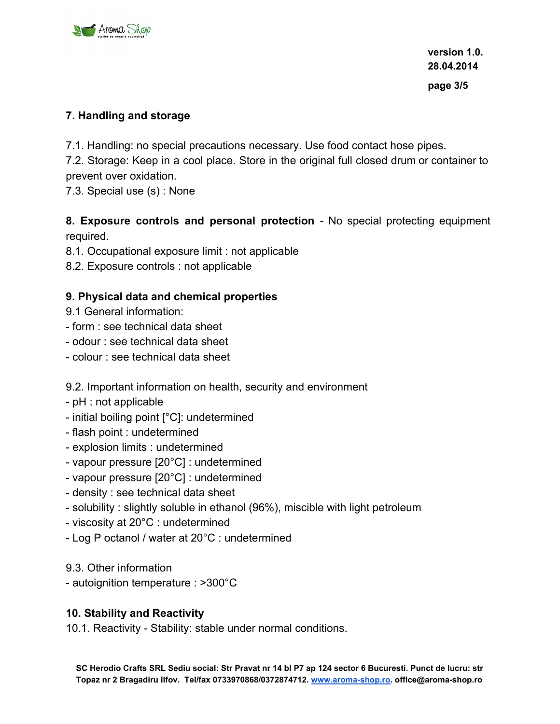

## **7. Handling and storage**

7.1. Handling: no special precautions necessary. Use food contact hose pipes.

7.2. Storage: Keep in a cool place. Store in the original full closed drum or container to prevent over oxidation.

7.3. Special use (s) : None

# **8. Exposure controls and personal protection** - No special protecting equipment required.

8.1. Occupational exposure limit : not applicable

8.2. Exposure controls : not applicable

## **9. Physical data and chemical properties**

- 9.1 General information:
- form : see technical data sheet
- odour : see technical data sheet
- colour : see technical data sheet

## 9.2. Important information on health, security and environment

- pH : not applicable
- initial boiling point [°C]: undetermined
- flash point : undetermined
- explosion limits : undetermined
- vapour pressure [20°C] : undetermined
- vapour pressure [20°C] : undetermined
- density : see technical data sheet
- solubility : slightly soluble in ethanol (96%), miscible with light petroleum
- viscosity at 20°C : undetermined
- Log P octanol / water at 20°C : undetermined

9.3. Other information

- autoignition temperature : >300°C

## **10. Stability and Reactivity**

10.1. Reactivity - Stability: stable under normal conditions.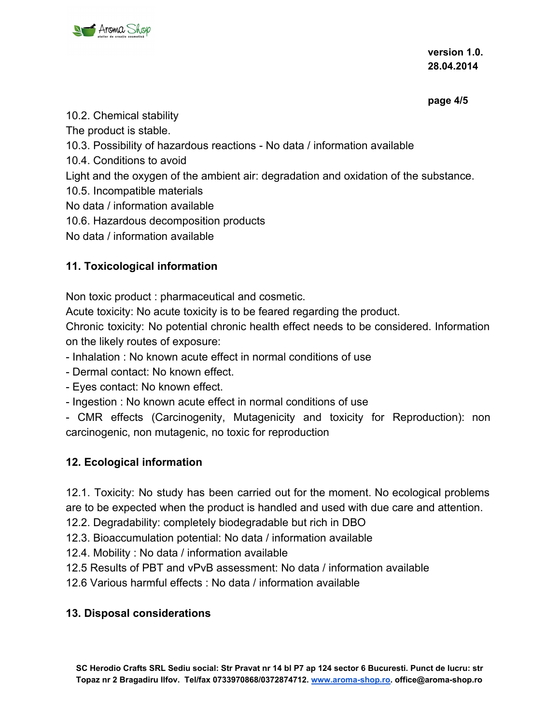

**version 1.0. 28.04.2014**

**page 4/5**

# 10.2. Chemical stability

The product is stable.

10.3. Possibility of hazardous reactions - No data / information available

10.4. Conditions to avoid

Light and the oxygen of the ambient air: degradation and oxidation of the substance.

10.5. Incompatible materials

No data / information available

10.6. Hazardous decomposition products

No data / information available

# **11. Toxicological information**

Non toxic product : pharmaceutical and cosmetic.

Acute toxicity: No acute toxicity is to be feared regarding the product.

Chronic toxicity: No potential chronic health effect needs to be considered. Information on the likely routes of exposure:

- Inhalation : No known acute effect in normal conditions of use

- Dermal contact: No known effect.

- Eyes contact: No known effect.

- Ingestion : No known acute effect in normal conditions of use

- CMR effects (Carcinogenity, Mutagenicity and toxicity for Reproduction): non carcinogenic, non mutagenic, no toxic for reproduction

# **12. Ecological information**

12.1. Toxicity: No study has been carried out for the moment. No ecological problems are to be expected when the product is handled and used with due care and attention.

12.2. Degradability: completely biodegradable but rich in DBO

12.3. Bioaccumulation potential: No data / information available

12.4. Mobility : No data / information available

12.5 Results of PBT and vPvB assessment: No data / information available

12.6 Various harmful effects : No data / information available

# **13. Disposal considerations**